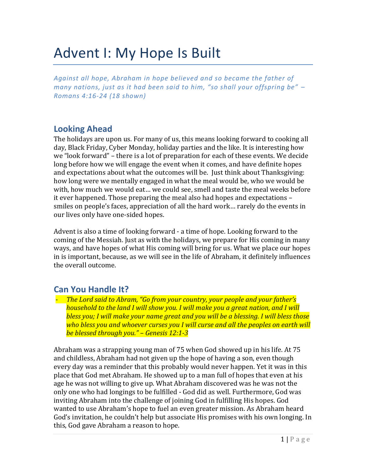# Advent I: My Hope Is Built

*Against all hope, Abraham in hope believed and so became the father of many nations, just as it had been said to him, "so shall your offspring be" – Romans 4:16-24 (18 shown)*

### **Looking Ahead**

The holidays are upon us. For many of us, this means looking forward to cooking all day, Black Friday, Cyber Monday, holiday parties and the like. It is interesting how we "look forward" – there is a lot of preparation for each of these events. We decide long before how we will engage the event when it comes, and have definite hopes and expectations about what the outcomes will be. Just think about Thanksgiving: how long were we mentally engaged in what the meal would be, who we would be with, how much we would eat… we could see, smell and taste the meal weeks before it ever happened. Those preparing the meal also had hopes and expectations – smiles on people's faces, appreciation of all the hard work… rarely do the events in our lives only have one-sided hopes.

Advent is also a time of looking forward - a time of hope. Looking forward to the coming of the Messiah. Just as with the holidays, we prepare for His coming in many ways, and have hopes of what His coming will bring for us. What we place our hopes in is important, because, as we will see in the life of Abraham, it definitely influences the overall outcome.

### **Can You Handle It?**

- *The Lord said to Abram, "Go from your country, your people and your father's household to the land I will show you. I will make you a great nation, and I will bless you; I will make your name great and you will be a blessing. I will bless those who bless you and whoever curses you I will curse and all the peoples on earth will be blessed through you." – Genesis 12:1-3*

Abraham was a strapping young man of 75 when God showed up in his life. At 75 and childless, Abraham had not given up the hope of having a son, even though every day was a reminder that this probably would never happen. Yet it was in this place that God met Abraham. He showed up to a man full of hopes that even at his age he was not willing to give up. What Abraham discovered was he was not the only one who had longings to be fulfilled - God did as well. Furthermore, God was inviting Abraham into the challenge of joining God in fulfilling His hopes. God wanted to use Abraham's hope to fuel an even greater mission. As Abraham heard God's invitation, he couldn't help but associate His promises with his own longing. In this, God gave Abraham a reason to hope.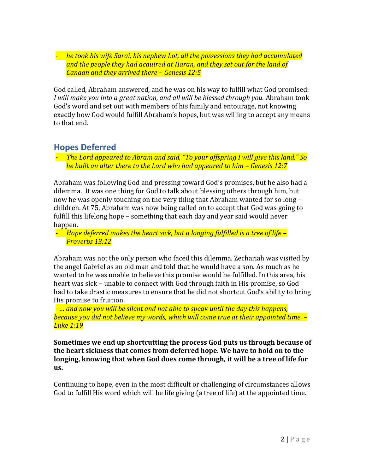- *he took his wife Sarai, his nephew Lot, all the possessions they had accumulated and the people they had acquired at Haran, and they set out for the land of Canaan and they arrived there – Genesis 12:5*

God called, Abraham answered, and he was on his way to fulfill what God promised: *I will make you into a great nation, and all will be blessed through you.* Abraham took God's word and set out with members of his family and entourage, not knowing exactly how God would fulfill Abraham's hopes, but was willing to accept any means to that end.

## **Hopes Deferred**

- *The Lord appeared to Abram and said, "To your offspring I will give this land." So he built an alter there to the Lord who had appeared to him – Genesis 12:7*

Abraham was following God and pressing toward God's promises, but he also had a dilemma. It was one thing for God to talk about blessing others through him, but now he was openly touching on the very thing that Abraham wanted for so long – children. At 75, Abraham was now being called on to accept that God was going to fulfill this lifelong hope – something that each day and year said would never happen.

- *Hope deferred makes the heart sick, but a longing fulfilled is a tree of life – Proverbs 13:12*

Abraham was not the only person who faced this dilemma. Zechariah was visited by the angel Gabriel as an old man and told that he would have a son. As much as he wanted to he was unable to believe this promise would be fulfilled. In this area, his heart was sick – unable to connect with God through faith in His promise, so God had to take drastic measures to ensure that he did not shortcut God's ability to bring His promise to fruition.

- *… and now you will be silent and not able to speak until the day this happens, because you did not believe my words, which will come true at their appointed time. – Luke 1:19*

**Sometimes we end up shortcutting the process God puts us through because of the heart sickness that comes from deferred hope. We have to hold on to the longing, knowing that when God does come through, it will be a tree of life for us.** 

Continuing to hope, even in the most difficult or challenging of circumstances allows God to fulfill His word which will be life giving (a tree of life) at the appointed time.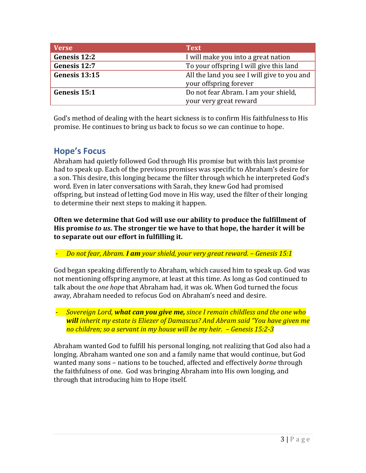| <b>Verse</b>  | <b>Text</b>                                                           |
|---------------|-----------------------------------------------------------------------|
| Genesis 12:2  | I will make you into a great nation                                   |
| Genesis 12:7  | To your offspring I will give this land                               |
| Genesis 13:15 | All the land you see I will give to you and<br>your offspring forever |
| Genesis 15:1  | Do not fear Abram. I am your shield,                                  |
|               | your very great reward                                                |

God's method of dealing with the heart sickness is to confirm His faithfulness to His promise. He continues to bring us back to focus so we can continue to hope.

## **Hope's Focus**

Abraham had quietly followed God through His promise but with this last promise had to speak up. Each of the previous promises was specific to Abraham's desire for a son. This desire, this longing became the filter through which he interpreted God's word. Even in later conversations with Sarah, they knew God had promised offspring, but instead of letting God move in His way, used the filter of their longing to determine their next steps to making it happen.

**Often we determine that God will use our ability to produce the fulfillment of His promise** *to us***. The stronger tie we have to that hope, the harder it will be to separate out our effort in fulfilling it.**

- *Do not fear, Abram. I am your shield, your very great reward. – Genesis 15:1*

God began speaking differently to Abraham, which caused him to speak up. God was not mentioning offspring anymore, at least at this time. As long as God continued to talk about the *one hope* that Abraham had, it was ok. When God turned the focus away, Abraham needed to refocus God on Abraham's need and desire.

- *Sovereign Lord, what can you give me, since I remain childless and the one who will inherit my estate is Eliezer of Damascus? And Abram said "You have given me no children; so a servant in my house will be my heir. – Genesis 15:2-3*

Abraham wanted God to fulfill his personal longing, not realizing that God also had a longing. Abraham wanted one son and a family name that would continue, but God wanted many sons – nations to be touched, affected and effectively *borne* through the faithfulness of one. God was bringing Abraham into His own longing, and through that introducing him to Hope itself.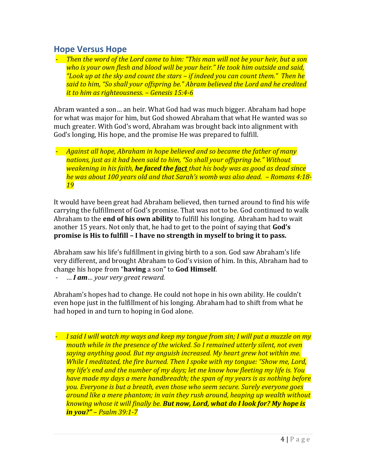#### **Hope Versus Hope**

- *Then the word of the Lord came to him: "This man will not be your heir, but a son who is your own flesh and blood will be your heir." He took him outside and said, "Look up at the sky and count the stars – if indeed you can count them." Then he said to him, "So shall your offspring be." Abram believed the Lord and he credited it to him as righteousness. – Genesis 15:4-6*

Abram wanted a son… an heir. What God had was much bigger. Abraham had hope for what was major for him, but God showed Abraham that what He wanted was so much greater. With God's word, Abraham was brought back into alignment with God's longing, His hope, and the promise He was prepared to fulfill.

- *Against all hope, Abraham in hope believed and so became the father of many nations, just as it had been said to him, "So shall your offspring be." Without weakening in his faith, he faced the fact that his body was as good as dead since he was about 100 years old and that Sarah's womb was also dead. – Romans 4:18- 19*

It would have been great had Abraham believed, then turned around to find his wife carrying the fulfillment of God's promise. That was not to be. God continued to walk Abraham to the **end of his own ability** to fulfill his longing. Abraham had to wait another 15 years. Not only that, he had to get to the point of saying that **God's promise is His to fulfill – I have no strength in myself to bring it to pass.**

Abraham saw his life's fulfillment in giving birth to a son. God saw Abraham's life very different, and brought Abraham to God's vision of him. In this, Abraham had to change his hope from "**having** a son" to **God Himself**.

- … *I am… your very great reward.* 

Abraham's hopes had to change. He could not hope in his own ability. He couldn't even hope just in the fulfillment of his longing. Abraham had to shift from what he had hoped in and turn to hoping in God alone.

- *I said I will watch my ways and keep my tongue from sin; I will put a muzzle on my mouth while in the presence of the wicked. So I remained utterly silent, not even saying anything good. But my anguish increased. My heart grew hot within me. While I meditated, the fire burned. Then I spoke with my tongue: "Show me, Lord, my life's end and the number of my days; let me know how fleeting my life is. You have made my days a mere handbreadth; the span of my years is as nothing before you. Everyone is but a breath, even those who seem secure. Surely everyone goes around like a mere phantom; in vain they rush around, heaping up wealth without knowing whose it will finally be. But now, Lord, what do I look for? My hope is in you?" – Psalm 39:1-7*